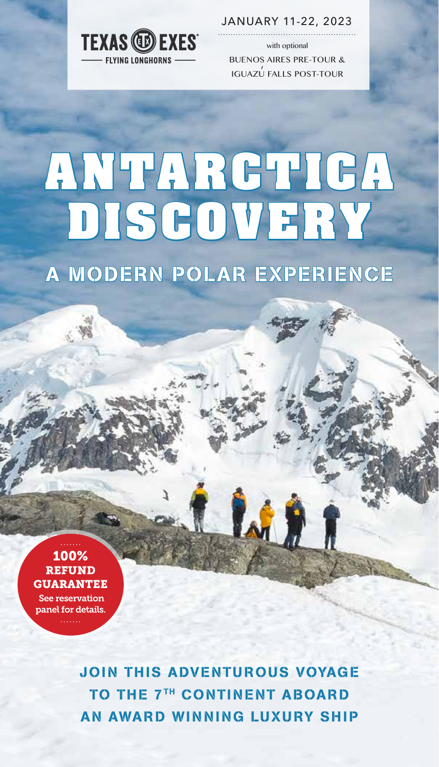

JANUARY 11-22, 2023

with optional BUENOS AIRES PRE-TOUR & IGUAZU FALLS POST-TOUR

# **ANTARCTICA DISCOVERY**

# A MODERN POLAR EXPERIENCE

100% REFUND GUARANTEE See reservation panel for details.

> JOIN THIS ADVENTUROUS VOYAGE TO THE 7<sup>TH</sup> CONTINENT ABOARD AN AWARD WINNING LUXURY SHIP

**MA**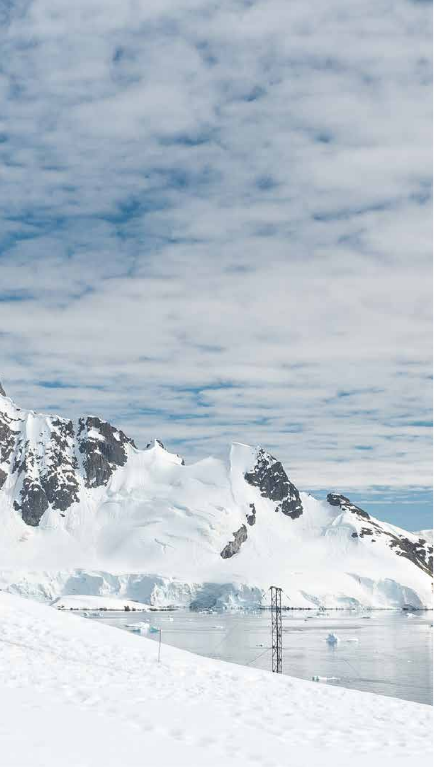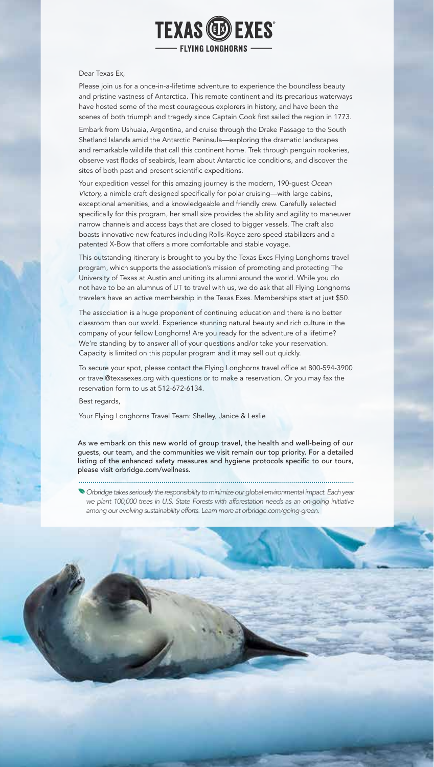

#### Dear Texas Ex,

Please join us for a once-in-a-lifetime adventure to experience the boundless beauty and pristine vastness of Antarctica. This remote continent and its precarious waterways have hosted some of the most courageous explorers in history, and have been the scenes of both triumph and tragedy since Captain Cook first sailed the region in 1773.

Embark from Ushuaia, Argentina, and cruise through the Drake Passage to the South Shetland Islands amid the Antarctic Peninsula—exploring the dramatic landscapes and remarkable wildlife that call this continent home. Trek through penguin rookeries, observe vast flocks of seabirds, learn about Antarctic ice conditions, and discover the sites of both past and present scientific expeditions.

Your expedition vessel for this amazing journey is the modern, 190-guest *Ocean Victory,* a nimble craft designed specifically for polar cruising—with large cabins, exceptional amenities, and a knowledgeable and friendly crew. Carefully selected specifically for this program, her small size provides the ability and agility to maneuver narrow channels and access bays that are closed to bigger vessels. The craft also boasts innovative new features including Rolls-Royce zero speed stabilizers and a patented X-Bow that offers a more comfortable and stable voyage.

This outstanding itinerary is brought to you by the Texas Exes Flying Longhorns travel program, which supports the association's mission of promoting and protecting The University of Texas at Austin and uniting its alumni around the world. While you do not have to be an alumnus of UT to travel with us, we do ask that all Flying Longhorns travelers have an active membership in the Texas Exes. Memberships start at just \$50.

The association is a huge proponent of continuing education and there is no better classroom than our world. Experience stunning natural beauty and rich culture in the company of your fellow Longhorns! Are you ready for the adventure of a lifetime? We're standing by to answer all of your questions and/or take your reservation. Capacity is limited on this popular program and it may sell out quickly.

To secure your spot, please contact the Flying Longhorns travel office at 800-594-3900 or travel@texasexes.org with questions or to make a reservation. Or you may fax the reservation form to us at 512-672-6134.

Best regards,

Your Flying Longhorns Travel Team: Shelley, Janice & Leslie

As we embark on this new world of group travel, the health and well-being of our guests, our team, and the communities we visit remain our top priority. For a detailed listing of the enhanced safety measures and hygiene protocols specific to our tours, please visit orbridge.com/wellness.

*Orbridge takes seriously the responsibility to minimize our global environmental impact. Each year we plant 100,000 trees in U.S. State Forests with afforestation needs as an on-going initiative among our evolving sustainability efforts. Learn more at orbridge.com/going-green.*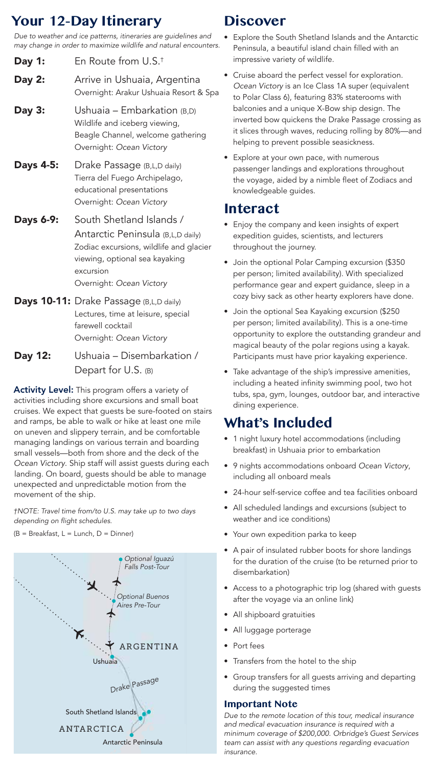## **Your 12-Day Itinerary**

*Due to weather and ice patterns, itineraries are guidelines and may change in order to maximize wildlife and natural encounters.*

Day 1: En Route from U.S.<sup>+</sup> **Day 2:** Arrive in Ushuaia, Argentina Overnight: Arakur Ushuaia Resort & Spa **Day 3:** Ushuaia – Embarkation  $(B,D)$ Wildlife and iceberg viewing, Beagle Channel, welcome gathering Overnight: *Ocean Victory* Days 4-5: Drake Passage (B, L, D daily) Tierra del Fuego Archipelago, educational presentations Overnight: *Ocean Victory* Days 6-9: South Shetland Islands / Antarctic Peninsula (B,L,D daily) Zodiac excursions, wildlife and glacier viewing, optional sea kayaking excursion

Overnight: *Ocean Victory*

- Days 10-11: Drake Passage (B, L,D daily) Lectures, time at leisure, special farewell cocktail Overnight: *Ocean Victory*
- Day 12: Ushuaia Disembarkation / Depart for U.S. (B)

Activity Level: This program offers a variety of activities including shore excursions and small boat cruises. We expect that guests be sure-footed on stairs and ramps, be able to walk or hike at least one mile on uneven and slippery terrain, and be comfortable managing landings on various terrain and boarding small vessels—both from shore and the deck of the *Ocean Victory*. Ship staff will assist guests during each landing. On board, guests should be able to manage unexpected and unpredictable motion from the movement of the ship.

*†NOTE: Travel time from/to U.S. may take up to two days* depending on flight schedules.

(B = Breakfast, L = Lunch, D = Dinner)



## **Discover**

- Explore the South Shetland Islands and the Antarctic Peninsula, a beautiful island chain filled with an impressive variety of wildlife.
- Cruise aboard the perfect vessel for exploration. *Ocean Victory* is an Ice Class 1A super (equivalent to Polar Class 6), featuring 83% staterooms with balconies and a unique X-Bow ship design. The inverted bow quickens the Drake Passage crossing as it slices through waves, reducing rolling by 80%—and helping to prevent possible seasickness.
- Explore at your own pace, with numerous passenger landings and explorations throughout the voyage, aided by a nimble fleet of Zodiacs and knowledgeable guides.

## **Interact**

- Enjoy the company and keen insights of expert expedition guides, scientists, and lecturers throughout the journey.
- Join the optional Polar Camping excursion (\$350 per person; limited availability). With specialized performance gear and expert guidance, sleep in a cozy bivy sack as other hearty explorers have done.
- Join the optional Sea Kayaking excursion (\$250 per person; limited availability). This is a one-time opportunity to explore the outstanding grandeur and magical beauty of the polar regions using a kayak. Participants must have prior kayaking experience.
- Take advantage of the ship's impressive amenities, including a heated infinity swimming pool, two hot tubs, spa, gym, lounges, outdoor bar, and interactive dining experience.

## **What's Included**

- 1 night luxury hotel accommodations (including breakfast) in Ushuaia prior to embarkation
- 9 nights accommodations onboard *Ocean Victory*, including all onboard meals
- 24-hour self-service coffee and tea facilities onboard
- All scheduled landings and excursions (subject to weather and ice conditions)
- Your own expedition parka to keep
- A pair of insulated rubber boots for shore landings for the duration of the cruise (to be returned prior to disembarkation)
- Access to a photographic trip log (shared with guests after the voyage via an online link)
- All shipboard gratuities
- All luggage porterage
- Port fees
- Transfers from the hotel to the ship
- Group transfers for all guests arriving and departing during the suggested times

#### **Important Note**

*Due to the remote location of this tour, medical insurance and medical evacuation insurance is required with a minimum coverage of \$200,000. Orbridge's Guest Services team can assist with any questions regarding evacuation insurance.*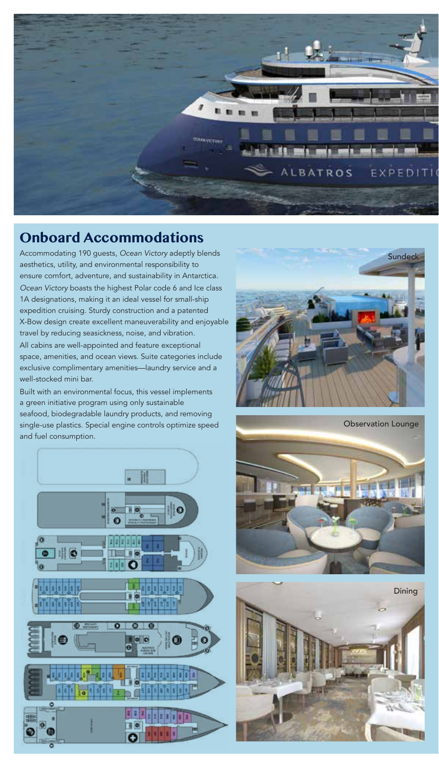

## **Onboard Accommodations**

Accommodating 190 guests, *Ocean Victory* adeptly blends aesthetics, utility, and environmental responsibility to ensure comfort, adventure, and sustainability in Antarctica. *Ocean Victory* boasts the highest Polar code 6 and Ice class 1A designations, making it an ideal vessel for small-ship expedition cruising. Sturdy construction and a patented X-Bow design create excellent maneuverability and enjoyable travel by reducing seasickness, noise, and vibration. All cabins are well-appointed and feature exceptional space, amenities, and ocean views. Suite categories include exclusive complimentary amenities—laundry service and a well-stocked mini bar.

Built with an environmental focus, this vessel implements a green initiative program using only sustainable seafood, biodegradable laundry products, and removing single-use plastics. Special engine controls optimize speed and fuel consumption.







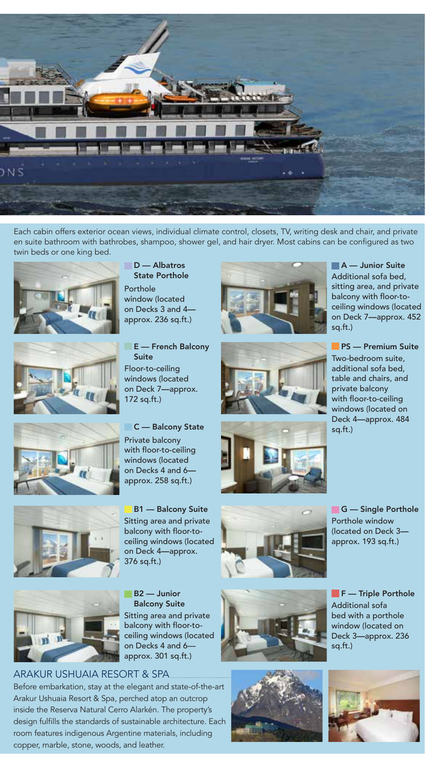

Each cabin offers exterior ocean views, individual climate control, closets, TV, writing desk and chair, and private en suite bathroom with bathrobes, shampoo, shower gel, and hair dryer. Most cabins can be configured as two twin beds or one king bed.











D — Albatros State Porthole Porthole window (located on Decks 3 and 4 approx. 236 sq.ft.)

#### Floor-to-ceiling windows (located on Deck 7—approx. 172 sq.ft.) E — French Balcony Suite

C — Balcony State Private balcony with floor-to-ceiling windows (located on Decks 4 and 6 approx. 258 sq.ft.)

B1 — Balcony Suite Sitting area and private balcony with floor-toceiling windows (located on Deck 4—approx. 376 sq.ft.)

Sitting area and private balcony with floor-toceiling windows (located on Decks 4 and 6 approx. 301 sq.ft.) B2 — Junior Balcony Suite

ARAKUR USHUAIA RESORT & SPA Before embarkation, stay at the elegant and state-of-the-art Arakur Ushuaia Resort & Spa, perched atop an outcrop inside the Reserva Natural Cerro Alarkén. The property's design fulfills the standards of sustainable architecture. Each room features indigenous Argentine materials, including copper, marble, stone, woods, and leather.







A — Junior Suite Additional sofa bed, sitting area, and private balcony with floor-toceiling windows (located on Deck 7—approx. 452 sq.ft.)

Two-bedroom suite, additional sofa bed, table and chairs, and private balcony with floor-to-ceiling windows (located on Deck 4—approx. 484 sq.ft.) **PS** — Premium Suite



Porthole window (located on Deck 3 approx. 193 sq.ft.) G - Single Porthole



 $\blacksquare$  F — Triple Porthole Additional sofa bed with a porthole window (located on Deck 3—approx. 236 sq.ft.)

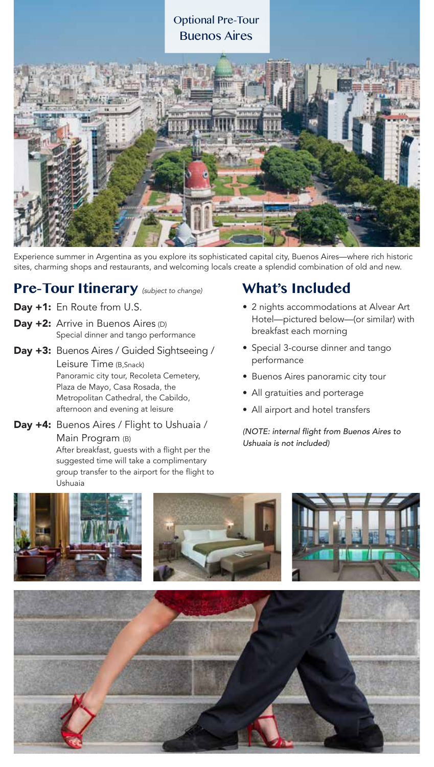## Optional Pre-Tour Buenos Aires



Experience summer in Argentina as you explore its sophisticated capital city, Buenos Aires—where rich historic sites, charming shops and restaurants, and welcoming locals create a splendid combination of old and new.

### **Pre-Tour Itinerary** *(subject to change)*

- Day +1: En Route from U.S.
- Day +2: Arrive in Buenos Aires (D) Special dinner and tango performance
- Day +3: Buenos Aires / Guided Sightseeing / Leisure Time (B,Snack) Panoramic city tour, Recoleta Cemetery, Plaza de Mayo, Casa Rosada, the Metropolitan Cathedral, the Cabildo, afternoon and evening at leisure
- Day +4: Buenos Aires / Flight to Ushuaia / Main Program (B) After breakfast, guests with a flight per the suggested time will take a complimentary group transfer to the airport for the flight to Ushuaia

## **What's Included**

- 2 nights accommodations at Alvear Art Hotel—pictured below—(or similar) with breakfast each morning
- Special 3-course dinner and tango performance
- Buenos Aires panoramic city tour
- All gratuities and porterage
- All airport and hotel transfers

(NOTE: internal flight from Buenos Aires to Ushuaia is not included)

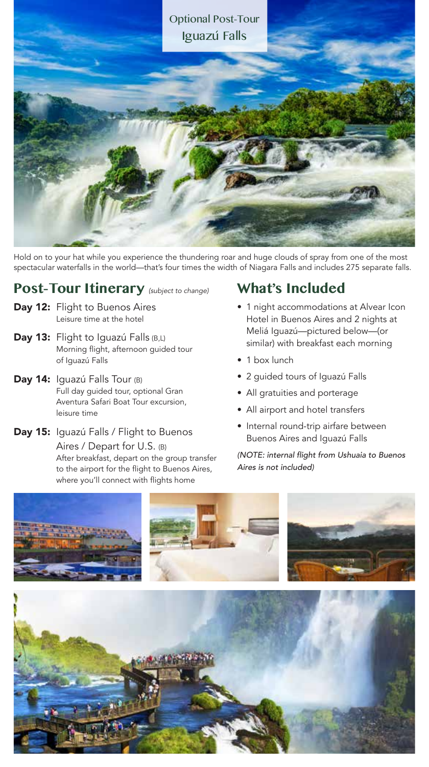

Hold on to your hat while you experience the thundering roar and huge clouds of spray from one of the most spectacular waterfalls in the world—that's four times the width of Niagara Falls and includes 275 separate falls.

## **Post-Tour Itinerary** *(subject to change)*

- Day 12: Flight to Buenos Aires Leisure time at the hotel
- Day 13: Flight to Iguazú Falls (B,L) Morning flight, afternoon guided tour of Iguazú Falls
- Day 14: Iquazú Falls Tour (B) Full day guided tour, optional Gran Aventura Safari Boat Tour excursion, leisure time
- Day 15: Iguazú Falls / Flight to Buenos Aires / Depart for U.S. (B) After breakfast, depart on the group transfer to the airport for the flight to Buenos Aires, where you'll connect with flights home

## **What's Included**

- 1 night accommodations at Alvear Icon Hotel in Buenos Aires and 2 nights at Meliá Iguazú—pictured below—(or similar) with breakfast each morning
- 1 box lunch
- 2 guided tours of Iguazú Falls
- All gratuities and porterage
- All airport and hotel transfers
- Internal round-trip airfare between Buenos Aires and Iguazú Falls

(NOTE: internal flight from Ushuaia to Buenos Aires is not included)

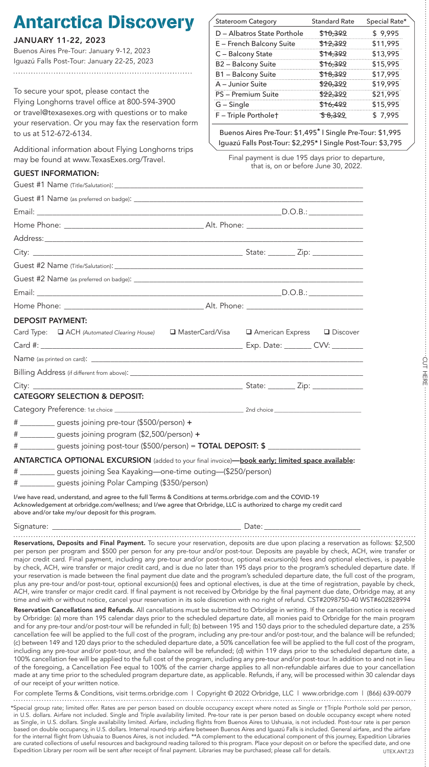## Antarctica Discovery

#### JANUARY 11-22, 2023

Buenos Aires Pre-Tour: January 9-12, 2023 Iguazú Falls Post-Tour: January 22-25, 2023 

To secure your spot, please contact the Flying Longhorns travel office at 800-594-3900 or travel@texasexes.org with questions or to make your reservation. Or you may fax the reservation form to us at 512-672-6134.

Additional information about Flying Longhorns trips may be found at www.TexasExes.org/Travel.

#### GUEST INFORMATION:

| <b>Stateroom Category</b>   | <b>Standard Rate</b> | Special Rate* |
|-----------------------------|----------------------|---------------|
| D - Albatros State Porthole | \$10,392             | \$9,995       |
| E - French Balcony Suite    | \$12,399             | \$11,995      |
| C - Balcony State           | \$14,392             | \$13,995      |
| B2 - Balcony Suite          | \$16,392             | \$15,995      |
| B1 - Balcony Suite          | \$18,399             | \$17.995      |
| A - Junior Suite            | \$20,399             | \$19,995      |
| PS - Premium Suite          | \$22,399             | \$21,995      |
| $G -$ Single                | \$16,499             | \$15,995      |
| F - Triple Porthole†        | \$8.392              | \$7.995       |

Buenos Aires Pre-Tour: \$1,495\* l Single Pre-Tour: \$1,995 Iguazú Falls Post-Tour: \$2,295\* l Single Post-Tour: \$3,795

Final payment is due 195 days prior to departure, that is, on or before June 30, 2022.

CUT HERE

**CUTHERE** 

| City: <u>City: City:</u> City: City: City: City: City: City: City: City: City: City: City: City: City: City: City: City: City: City: City: City: City: City: City: City: City: City: City: City: City: City: City: City: City: City                                                     |                               |
|-----------------------------------------------------------------------------------------------------------------------------------------------------------------------------------------------------------------------------------------------------------------------------------------|-------------------------------|
|                                                                                                                                                                                                                                                                                         |                               |
|                                                                                                                                                                                                                                                                                         |                               |
|                                                                                                                                                                                                                                                                                         |                               |
| Home Phone: Alt. Phone: Alt. Phone: Alt. Phone:                                                                                                                                                                                                                                         |                               |
| <b>DEPOSIT PAYMENT:</b>                                                                                                                                                                                                                                                                 |                               |
| Card Type: ■ ACH (Automated Clearing House) ■ MasterCard/Visa                                                                                                                                                                                                                           | □ American Express □ Discover |
|                                                                                                                                                                                                                                                                                         |                               |
|                                                                                                                                                                                                                                                                                         |                               |
|                                                                                                                                                                                                                                                                                         |                               |
|                                                                                                                                                                                                                                                                                         |                               |
| <b>CATEGORY SELECTION &amp; DEPOSIT:</b>                                                                                                                                                                                                                                                |                               |
|                                                                                                                                                                                                                                                                                         |                               |
| # __________ guests joining pre-tour (\$500/person) +                                                                                                                                                                                                                                   |                               |
| # __________ guests joining program (\$2,500/person) +                                                                                                                                                                                                                                  |                               |
| # _________ guests joining post-tour (\$500/person) = <b>TOTAL DEPOSIT: \$</b> ___________________________                                                                                                                                                                              |                               |
| ANTARCTICA OPTIONAL EXCURSION (added to your final invoice)—book early; limited space available:                                                                                                                                                                                        |                               |
| # _________ guests joining Sea Kayaking—one-time outing—(\$250/person)                                                                                                                                                                                                                  |                               |
| # ________ guests joining Polar Camping (\$350/person)                                                                                                                                                                                                                                  |                               |
| I/we have read, understand, and agree to the full Terms & Conditions at terms.orbridge.com and the COVID-19<br>Acknowledgement at orbridge.com/wellness; and I/we agree that Orbridge, LLC is authorized to charge my credit card<br>above and/or take my/our deposit for this program. |                               |
|                                                                                                                                                                                                                                                                                         |                               |
|                                                                                                                                                                                                                                                                                         |                               |

Reservations, Deposits and Final Payment. To secure your reservation, deposits are due upon placing a reservation as follows: \$2,500 per person per program and \$500 per person for any pre-tour and/or post-tour. Deposits are payable by check, ACH, wire transfer or major credit card. Final payment, including any pre-tour and/or post-tour, optional excursion(s) fees and optional electives, is payable by check, ACH, wire transfer or major credit card, and is due no later than 195 days prior to the program's scheduled departure date. If your reservation is made between the final payment due date and the program's scheduled departure date, the full cost of the program, plus any pre-tour and/or post-tour, optional excursion(s) fees and optional electives, is due at the time of registration, payable by check, ACH, wire transfer or major credit card. If final payment is not received by Orbridge by the final payment due date, Orbridge may, at any time and with or without notice, cancel your reservation in its sole discretion with no right of refund. CST#2098750-40 WST#602828994

Reservation Cancellations and Refunds. All cancellations must be submitted to Orbridge in writing. If the cancellation notice is received by Orbridge: (a) more than 195 calendar days prior to the scheduled departure date, all monies paid to Orbridge for the main program and for any pre-tour and/or post-tour will be refunded in full; (b) between 195 and 150 days prior to the scheduled departure date, a 25% cancellation fee will be applied to the full cost of the program, including any pre-tour and/or post-tour, and the balance will be refunded; (c) between 149 and 120 days prior to the scheduled departure date, a 50% cancellation fee will be applied to the full cost of the program, including any pre-tour and/or post-tour, and the balance will be refunded; (d) within 119 days prior to the scheduled departure date, a 100% cancellation fee will be applied to the full cost of the program, including any pre-tour and/or post-tour. In addition to and not in lieu of the foregoing, a Cancellation Fee equal to 100% of the carrier charge applies to all non-refundable airfares due to your cancellation made at any time prior to the scheduled program departure date, as applicable. Refunds, if any, will be processed within 30 calendar days of our receipt of your written notice.

\*Special group rate; limited offer. Rates are per person based on double occupancy except where noted as Single or †Triple Porthole sold per person, in U.S. dollars. Airfare not included. Single and Triple availability limited. Pre-tour rate is per person based on double occupancy except where noted as Single, in U.S. dollars. Single availability limited. Airfare, including flights from Buenos Aires to Ushuaia, is not included. Post-tour rate is per person<br>based on double occupancy, in U.S. dollars. Internal round-tri for the internal flight from Ushuaia to Buenos Aires, is not included. \*\*A complement to the educational component of this journey, Expedition Libraries are curated collections of useful resources and background reading tailored to this program. Place your deposit on or before the specified date, and one Expedition Library per room will be sent after receipt of final payment. Libraries may be purchased; please call for details. UTEX.ANT.23 For complete Terms & Conditions, visit terms.orbridge.com | Copyright © 2022 Orbridge, LLC | www.orbridge.com | (866) 639-0079